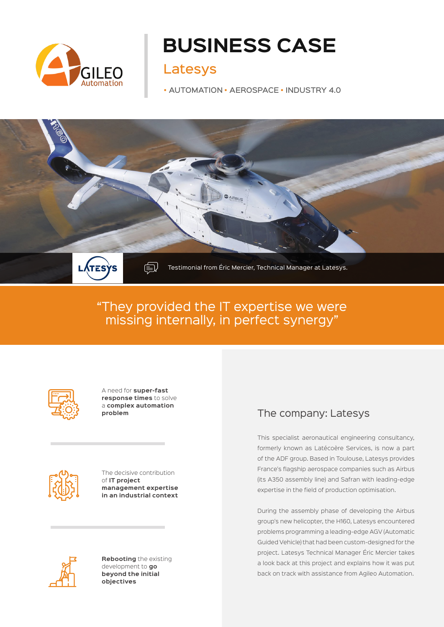

# **BUSINESS CASE**

# Latesys

• AUTOMATION • AEROSPACE • INDUSTRY 4.0



# "They provided the IT expertise we were missing internally, in perfect synergy"



A need for **super-fast response times** to solve a **complex automation problem**



The decisive contribution of **IT project management expertise in an industrial context**



**Rebooting** the existing development to **go beyond the initial objectives**

### The company: Latesys

This specialist aeronautical engineering consultancy, formerly known as Latécoère Services, is now a part of the ADF group. Based in Toulouse, Latesys provides France's flagship aerospace companies such as Airbus (its A350 assembly line) and Safran with leading-edge expertise in the field of production optimisation.

During the assembly phase of developing the Airbus group's new helicopter, the H160, Latesys encountered problems programming a leading-edge AGV (Automatic Guided Vehicle) that had been custom-designed for the project. Latesys Technical Manager Éric Mercier takes a look back at this project and explains how it was put back on track with assistance from Agileo Automation.